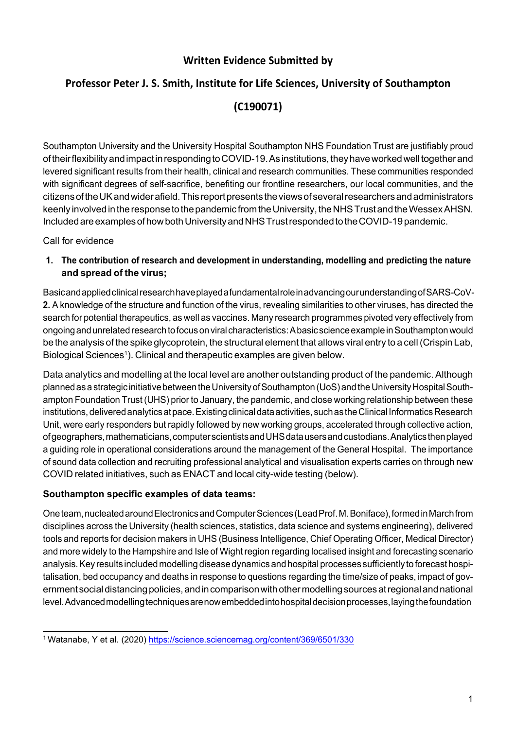## **Written Evidence Submitted by**

# **Professor Peter J. S. Smith, Institute for Life Sciences, University of Southampton**

# **(C190071)**

Southampton University and the University Hospital Southampton NHS Foundation Trust are justifiably proud of their flexibility and impact in responding to COVID-19. As institutions, they have worked well together and levered significant results from their health, clinical and research communities. These communities responded with significant degrees of self-sacrifice, benefiting our frontline researchers, our local communities, and the citizens of the UK and wider afield. This report presents the views of several researchers and administrators keenly involved in the response to the pandemic from the University, the NHS Trust and the Wessex AHSN. Included are examples of how both University and NHS Trust responded to the COVID-19 pandemic.

Call for evidence

**1. The contribution of research and development in understanding, modelling and predicting the nature and spread of the virus;**

BasicandappliedclinicalresearchhaveplayedafundamentalroleinadvancingourunderstandingofSARS-CoV-**2.** A knowledge of the structure and function of the virus, revealing similarities to other viruses, has directed the search for potential therapeutics, as well as vaccines. Many research programmes pivoted very effectively from ongoing and unrelated research to focus on viral characteristics: A basic science example in Southampton would be the analysis of the spike glycoprotein, the structural element that allows viral entry to a cell(Crispin Lab, Biological Sciences<sup>1</sup>). Clinical and therapeutic examples are given below.

Data analytics and modelling at the local level are another outstanding product of the pandemic. Although planned as a strategic initiative between the University of Southampton (UoS) and the University Hospital Southampton Foundation Trust (UHS) prior to January, the pandemic, and close working relationship between these institutions, delivered analytics at pace. Existing clinical data activities, such as the Clinical Informatics Research Unit, were early responders but rapidly followed by new working groups, accelerated through collective action, ofgeographers,mathematicians,computerscientistsandUHSdatausersandcustodians.Analyticsthenplayed a guiding role in operational considerations around the management of the General Hospital. The importance of sound data collection and recruiting professional analytical and visualisation experts carries on through new COVID related initiatives, such as ENACT and local city-wide testing (below).

## **Southampton specific examples of data teams:**

One team, nucleated around Electronics and Computer Sciences (Lead Prof. M. Boniface), formed in March from disciplines across the University (health sciences, statistics, data science and systems engineering), delivered tools and reports for decision makers in UHS (Business Intelligence, Chief Operating Officer, Medical Director) and more widely to the Hampshire and Isle of Wight region regarding localised insight and forecasting scenario analysis.Key results included modelling diseasedynamics and hospital processes sufficiently to forecast hospitalisation, bed occupancy and deaths in response to questions regarding the time/size of peaks, impact of government social distancing policies, and in comparison with other modelling sources at regional and national level.Advancedmodellingtechniquesarenowembeddedintohospitaldecisionprocesses,layingthefoundation

<sup>1</sup> Watanabe, Y et al. (2020) <https://science.sciencemag.org/content/369/6501/330>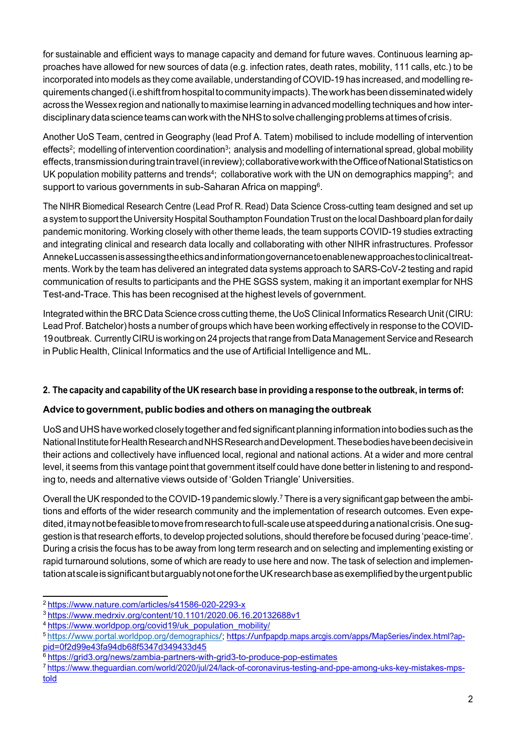for sustainable and efficient ways to manage capacity and demand for future waves. Continuous learning approaches have allowed for new sources of data (e.g. infection rates, death rates, mobility, 111 calls, etc.) to be incorporated into models as they come available, understanding of COVID-19 has increased, and modelling requirementschanged(i.eshiftfromhospitaltocommunityimpacts).Theworkhasbeendisseminatedwidely across the Wessex region and nationally to maximise learning in advanced modelling techniques and how interdisciplinarydatascienceteamscanworkwiththeNHStosolvechallengingproblemsattimesofcrisis.

Another UoS Team, centred in Geography (lead Prof A. Tatem) mobilised to include modelling of intervention effects<sup>2</sup>; modelling of intervention coordination<sup>3</sup>; analysis and modelling of international spread, global mobility effects,transmissionduringtraintravel(inreview);collaborativeworkwiththeOfficeofNationalStatisticson UK population mobility patterns and trends<sup>4</sup>; collaborative work with the UN on demographics mapping<sup>5</sup>; and support to various governments in sub-Saharan Africa on mapping<sup>6</sup>.

The NIHR Biomedical Research Centre (Lead Prof R. Read) Data Science Cross-cutting team designed and set up a system to support the University Hospital Southampton Foundation Trust on the local Dashboard plan for daily pandemic monitoring. Working closely with other theme leads, the team supports COVID-19 studies extracting and integrating clinical and research data locally and collaborating with other NIHR infrastructures. Professor AnnekeLuccassenisassessingtheethicsandinformationgovernancetoenablenewapproachestoclinicaltreatments. Work by the team has delivered an integrated data systems approach to SARS-CoV-2 testing and rapid communication of results to participants and the PHE SGSS system, making it an important exemplar for NHS Test-and-Trace. This has been recognised at the highest levels of government.

Integrated within the BRC Data Science cross cutting theme, the UoS Clinical Informatics Research Unit (CIRU: Lead Prof. Batchelor) hosts a number of groups which have been working effectively in response to the COVID-19 outbreak. Currently CIRU is working on 24 projects that range from Data Management Service and Research in Public Health, Clinical Informatics and the use of Artificial Intelligence and ML.

## 2. The capacity and capability of the UK research base in providing a response to the outbreak, in terms of:

## **Advice to government, public bodies and others on managing the outbreak**

UoS and UHS have worked closely together and fed significant planning information into bodies such as the NationalInstituteforHealthResearchandNHSResearchandDevelopment.Thesebodieshavebeendecisivein their actions and collectively have influenced local, regional and national actions. At a wider and more central level, it seems from this vantage point that government itself could have done better in listening to and responding to, needs and alternative views outside of 'Golden Triangle' Universities.

Overall the UK responded to the COVID-19 pandemic slowly.<sup>7</sup> There is a very significant gap between the ambitions and efforts of the wider research community and the implementation of research outcomes. Even expedited, it may not be feasible to move from research to full-scale use at speed during a national crisis. One suggestion is thatresearch efforts, to develop projected solutions, should therefore be focused during 'peace-time'. During a crisis the focus has to be away from long term research and on selecting and implementing existing or rapid turnaround solutions, some of which are ready to use here and now. The task of selection and implementationatscaleissignificantbutarguablynotonefortheUKresearchbaseasexemplifiedbytheurgentpublic

<sup>2</sup> <https://www.nature.com/articles/s41586-020-2293-x>

<sup>3</sup> <https://www.medrxiv.org/content/10.1101/2020.06.16.20132688v1>

<sup>4</sup> [https://www.worldpop.org/covid19/uk\\_population\\_mobility/](https://www.worldpop.org/covid19/uk_population_mobility/)

<sup>5</sup> https:/[/www.portal.worldpop.org/demographics/;](http://www.portal.worldpop.org/demographics/%3B) [https://unfpapdp.maps.arcgis.com/apps/MapSeries/index.html?ap](https://unfpapdp.maps.arcgis.com/apps/MapSeries/index.html?appid=0f2d99e43fa94db68f5347d349433d45)[pid=0f2d99e43fa94db68f5347d349433d45](https://unfpapdp.maps.arcgis.com/apps/MapSeries/index.html?appid=0f2d99e43fa94db68f5347d349433d45)

<sup>6</sup> <https://grid3.org/news/zambia-partners-with-grid3-to-produce-pop-estimates>

<sup>7</sup> [https://www.theguardian.com/world/2020/jul/24/lack-of-coronavirus-testing-and-ppe-among-uks-key-mistakes-](https://www.theguardian.com/world/2020/jul/24/lack-of-coronavirus-testing-and-ppe-among-uks-key-mistakes-mps-told)mps[told](https://www.theguardian.com/world/2020/jul/24/lack-of-coronavirus-testing-and-ppe-among-uks-key-mistakes-mps-told)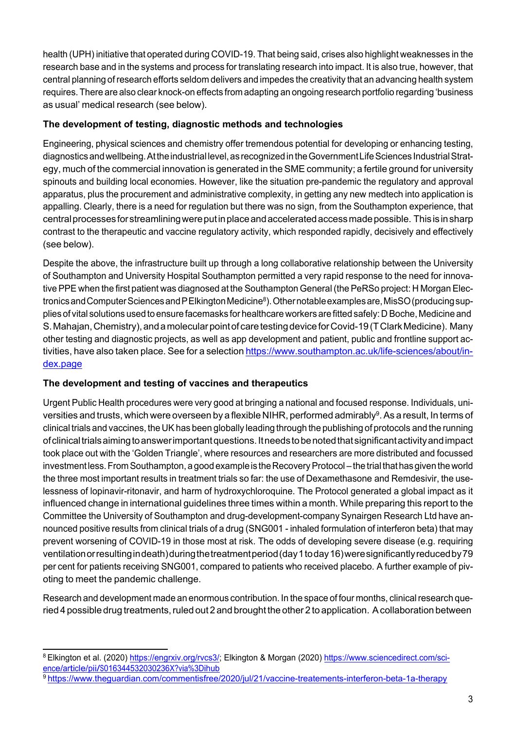health (UPH) initiative that operated during COVID-19. That being said, crises also highlight weaknesses in the research base and in the systems and process for translating research into impact. It is also true, however, that central planning of research efforts seldom delivers and impedes the creativity that an advancing health system requires. There are also clear knock-on effects from adapting an ongoing research portfolio regarding 'business as usual' medical research (see below).

## **The development of testing, diagnostic methods and technologies**

Engineering, physical sciences and chemistry offer tremendous potential for developing or enhancing testing, diagnostics and wellbeing. At the industrial level, as recognized in the Government Life Sciences Industrial Strategy, much of the commercial innovation is generated in the SME community; a fertile ground for university spinouts and building local economies. However, like the situation pre-pandemic the regulatory and approval apparatus, plus the procurement and administrative complexity, in getting any new medtech into application is appalling. Clearly, there is a need for regulation but there was no sign, from the Southampton experience, that centralprocessesforstreamliningwereputinplaceandacceleratedaccessmadepossible. Thisisinsharp contrast to the therapeutic and vaccine regulatory activity, which responded rapidly, decisively and effectively (see below).

Despite the above, the infrastructure built up through a long collaborative relationship between the University of Southampton and University Hospital Southampton permitted a very rapid response to the need for innovative PPE when the first patient was diagnosed at the Southampton General (the PeRSo project: H Morgan Electronics and Computer Sciences and P Elkington Medicine<sup>8</sup>). Other notable examples are, MisSO (producing supplies of vital solutions used to ensure facemasks for healthcare workers are fitted safely: D Boche, Medicine and S. Mahajan, Chemistry), and a molecular point of care testing device for Covid-19 (T Clark Medicine). Many other testing and diagnostic projects, as well as app development and patient, public and frontline support activities, have also taken place. See for a selection [https://www.southampton.ac.uk/life-sciences/about/in](https://www.southampton.ac.uk/life-sciences/about/index.page)[dex.page](https://www.southampton.ac.uk/life-sciences/about/index.page)

## **The development and testing of vaccines and therapeutics**

Urgent Public Health procedures were very good at bringing a national and focused response. Individuals, universities and trusts, which were overseen by a flexible NIHR, performed admirably<sup>9</sup>. As a result, In terms of clinical trials and vaccines, the UK has been globally leading through the publishing of protocols and the running ofclinicaltrialsaimingtoanswerimportantquestions.Itneedstobenotedthatsignificantactivityandimpact took place out with the 'Golden Triangle', where resources and researchers are more distributed and focussed investment less. From Southampton, a good example is the Recovery Protocol – the trial that has given the world the three most important results in treatment trials so far: the use of Dexamethasone and Remdesivir, the uselessness of lopinavir-ritonavir, and harm of hydroxychloroquine. The Protocol generated a global impact as it influenced change in international guidelines three times within a month. While preparing this report to the Committee the University of Southampton and drug-development-company [Synairgen](https://www.linkedin.com/company/synairgen-research-ltd/) [Research](https://www.linkedin.com/company/synairgen-research-ltd/) [Ltd](https://www.linkedin.com/company/synairgen-research-ltd/) have announced positive results from clinical trials of a drug (SNG001 - inhaled formulation of interferon beta) that may prevent worsening of COVID-19 in those most at risk. The odds of developing severe disease (e.g. requiring ventilationorresultingindeath)duringthetreatmentperiod(day1today16)weresignificantlyreducedby79 per cent for patients receiving SNG001, compared to patients who received placebo. A further example of pivoting to meet the pandemic challenge.

Research and development made an enormous contribution. In the space of four months, clinicalresearch queried 4 possible drug treatments, ruled out 2 and brought the other 2 to application. A collaboration between

<sup>&</sup>lt;sup>8</sup> Elkington et al. (2020) [https://engrxiv.org/rvcs3/;](https://engrxiv.org/rvcs3/) Elkington & Morgan (2020) [https://www.sciencedirect.com/sc](https://www.sciencedirect.com/science/article/pii/S016344532030236X?via%3Dihub)i[ence/article/pii/S01634453203023](https://www.sciencedirect.com/science/article/pii/S016344532030236X?via%3Dihub)6[X?via%3Dihub](https://www.sciencedirect.com/science/article/pii/S016344532030236X?via%3Dihub)

<sup>9</sup> <https://www.theguardian.com/commentisfree/2020/jul/21/vaccine-treatements-interferon-beta-1a-therapy>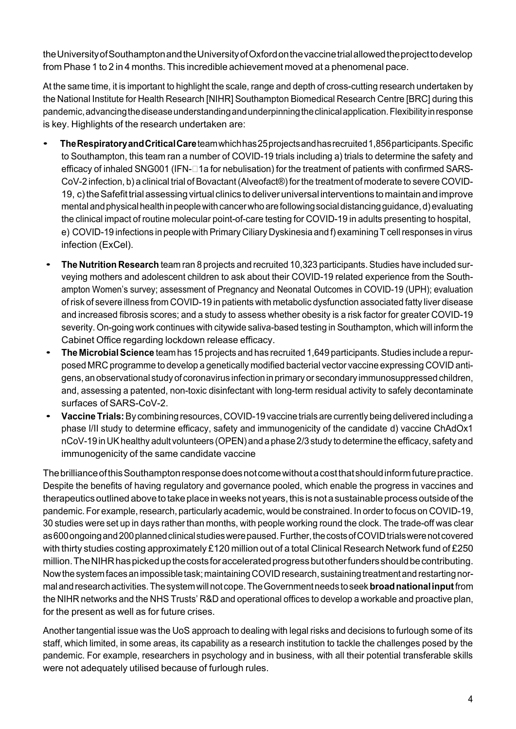theUniversityofSouthamptonandtheUniversityofOxfordonthevaccinetrialallowedtheprojecttodevelop from Phase 1 to 2 in 4 months. This incredible achievement moved at a phenomenal pace.

At the same time, it is important to highlight the scale, range and depth of cross-cutting research undertaken by the National Institute for Health Research [NIHR] Southampton Biomedical Research Centre [BRC] during this pandemic,advancingthediseaseunderstandingandunderpinningtheclinicalapplication.Flexibilityinresponse is key. Highlights of the research undertaken are:

- **TheRespiratoryandCriticalCare**teamwhichhas25projectsandhasrecruited1,856participants.Specific to Southampton, this team ran a number of COVID-19 trials including a) trials to determine the safety and efficacy of inhaled SNG001 (IFN- $\square$ 1a for nebulisation) for the treatment of patients with confirmed SARS-CoV-2 infection, b) a clinical trial of Bovactant (Alveofact®) for the treatment of moderate to severe COVID-19, c) the Safefit trial assessing virtual clinics to deliver universal interventions to maintain and improve mental and physical health in people with cancer who are following social distancing quidance, d) evaluating the clinical impact of routine molecular point-of-care testing for COVID-19 in adults presenting to hospital, e) COVID-19 infections in people with Primary Ciliary Dyskinesia and f) examining T cellresponses in virus infection (ExCel).
- **The Nutrition Research** team ran <sup>8</sup> projects and recruited 10,323 participants.Studies have included surveying mothers and adolescent children to ask about their COVID-19 related experience from the Southampton Women's survey; assessment of Pregnancy and Neonatal Outcomes in COVID-19 (UPH); evaluation of risk of severe illness from COVID-19 in patients with metabolic dysfunction associated fatty liver disease and increased fibrosis scores; and a study to assess whether obesity is a risk factor for greater COVID-19 severity. On-going work continues with citywide saliva-based testing in Southampton, which will inform the Cabinet Office regarding lockdown release efficacy.
- **The MicrobialScience** team has <sup>15</sup> projects and has recruited 1,649 participants.Studies include <sup>a</sup> repurposed MRC programme to develop a genetically modified bacterial vector vaccine expressing COVID antigens, an observational study of coronavirus infection in primary or secondary immunosuppressed children, and, assessing a patented, non-toxic disinfectant with long-term residual activity to safely decontaminate surfaces of SARS-CoV-2.
- **VaccineTrials:**By combining resources, COVID-19 vaccine trials are currently being delivered including <sup>a</sup> phase I/II study to determine efficacy, safety and immunogenicity of the candidate d) vaccine ChAdOx1 nCoV-19 in UK healthy adult volunteers (OPEN) and a phase 2/3 study to determine the efficacy, safety and immunogenicity of the same candidate vaccine

ThebrillianceofthisSouthamptonresponsedoesnotcomewithoutacostthatshouldinformfuturepractice. Despite the benefits of having regulatory and governance pooled, which enable the progress in vaccines and therapeutics outlined above to take place in weeks not years, this is not a sustainable process outside of the pandemic. For example, research, particularly academic, would be constrained. In order to focus on COVID-19, 30 studies were set up in days rather than months, with people working round the clock. The trade-off was clear as 600 ongoing and 200 planned clinical studies were paused. Further, the costs of COVID trials were not covered with thirty studies costing approximately £120 million out of a total Clinical Research Network fund of £250 million. The NIHR has picked up the costs for accelerated progress but other funders should be contributing. Now the system faces an impossible task; maintaining COVID research, sustaining treatment and restarting normalandresearchactivities.Thesystemwillnot cope.TheGovernmentneeds toseek**broadnationalinput**from the NIHR networks and the NHS Trusts' R&D and operational offices to develop a workable and proactive plan, for the present as well as for future crises.

Another tangential issue was the UoS approach to dealing with legal risks and decisions to furlough some of its staff, which limited, in some areas, its capability as a research institution to tackle the challenges posed by the pandemic. For example, researchers in psychology and in business, with all their potential transferable skills were not adequately utilised because of furlough rules.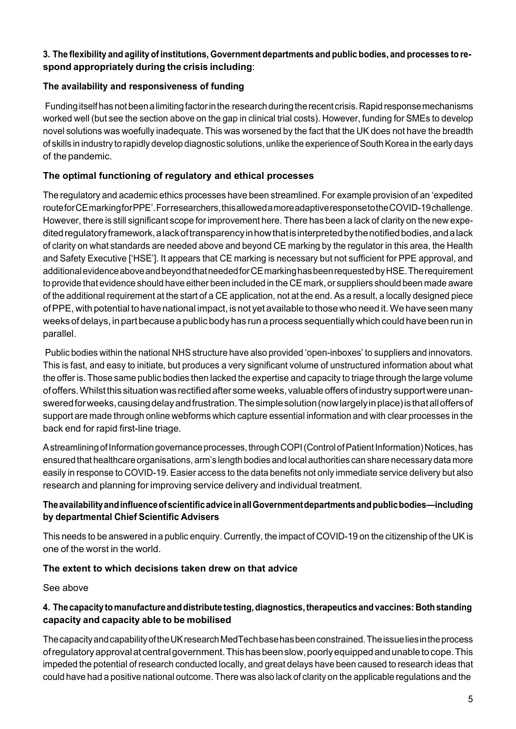#### **3. The flexibility and agility ofinstitutions, Government departments and public bodies, and processes to respond appropriately during the crisis including**:

#### **The availability and responsiveness of funding**

Funding itself has not been a limiting factor in the research during the recent crisis. Rapid response mechanisms worked well (but see the section above on the gap in clinical trial costs). However, funding for SMEs to develop novel solutions was woefully inadequate. This was worsened by the fact that the UK does not have the breadth of skills in industry to rapidly develop diagnostic solutions, unlike the experience ofSouthKorea in the early days of the pandemic.

#### **The optimal functioning of regulatory and ethical processes**

The regulatory and academic ethics processes have been streamlined. For example provision of an 'expedited routeforCEmarkingforPPE'.Forresearchers,thisallowedamoreadaptiveresponsetotheCOVID-19challenge. However, there is still significant scope for improvement here. There has been a lack of clarity on the new expedited regulatory framework, a lack of transparency in how that is interpreted by the notified bodies, and a lack of clarity on what standards are needed above and beyond CE marking by the regulator in this area, the Health and Safety Executive ['HSE']. It appears that CE marking is necessary but not sufficient for PPE approval, and additionalevidenceaboveandbeyondthatneededforCEmarkinghasbeenrequestedbyHSE.Therequirement to provide that evidence should have either been included in the CE mark, or suppliers should been made aware of the additional requirement at the start of a CE application, not at the end. As a result, a locally designed piece ofPPE, with potential to have national impact, is not yet available to thosewho need it.We have seen many weeks of delays, in partbecause apublic body has run a process sequentially which could have been run in parallel.

Public bodies within the national NHS structure have also provided 'open-inboxes' to suppliers and innovators. This is fast, and easy to initiate, but produces a very significant volume of unstructured information about what the offer is. Those same public bodies then lacked the expertise and capacity to triage through the large volume of offers. Whilst this situation was rectified after some weeks, valuable offers of industry support were unansweredforweeks,causingdelayandfrustration.Thesimplesolution(nowlargelyinplace)isthatalloffersof support are made through online webforms which capture essential information and with clear processes in the back end for rapid first-line triage.

Astreamlining of Information governance processes, through COPI (Control of Patient Information) Notices, has ensured that healthcare organisations, arm's length bodies and local authorities can share necessary data more easily in response to COVID-19. Easier access to the data benefits not only immediate service delivery but also research and planning for improving service delivery and individual treatment.

#### **TheavailabilityandinfluenceofscientificadviceinallGovernmentdepartmentsandpublicbodies—including by departmental Chief Scientific Advisers**

This needs to be answered in a public enquiry. Currently, the impact of COVID-19 on the citizenship of the UK is one of the worst in the world.

#### **The extent to which decisions taken drew on that advice**

See above

#### **4. Thecapacitytomanufacture anddistribute testing,diagnostics,therapeutics andvaccines: Bothstanding capacity and capacity able to be mobilised**

ThecapacityandcapabilityoftheUKresearchMedTechbasehasbeenconstrained.Theissueliesintheprocess ofregulatoryapprovalat centralgovernment.Thishasbeenslow,poorlyequippedandunabletocope.This impeded the potential of research conducted locally, and great delays have been caused to research ideas that could have had a positive national outcome. There was also lack of clarity on the applicable regulations and the